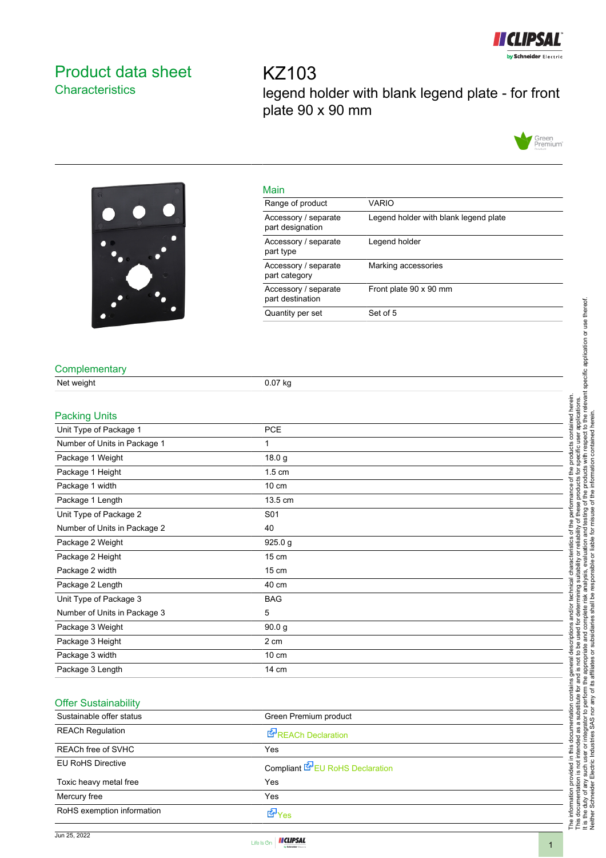

## <span id="page-0-0"></span>Product data sheet **Characteristics**

KZ103 legend holder with blank legend plate - for front plate 90 x 90 mm





| Main                                     |                                       |
|------------------------------------------|---------------------------------------|
| Range of product                         | <b>VARIO</b>                          |
| Accessory / separate<br>part designation | Legend holder with blank legend plate |
| Accessory / separate<br>part type        | Legend holder                         |
| Accessory / separate<br>part category    | Marking accessories                   |
| Accessory / separate<br>part destination | Front plate 90 x 90 mm                |
| Quantity per set                         | Set of 5                              |

## **Complementary**

| Net weight                   | 0.07 kg           |  |
|------------------------------|-------------------|--|
| <b>Packing Units</b>         |                   |  |
| Unit Type of Package 1       | PCE               |  |
| Number of Units in Package 1 | 1                 |  |
| Package 1 Weight             | 18.0 g            |  |
| Package 1 Height             | $1.5 \text{ cm}$  |  |
| Package 1 width              | 10 cm             |  |
| Package 1 Length             | 13.5 cm           |  |
| Unit Type of Package 2       | S01               |  |
| Number of Units in Package 2 | 40                |  |
| Package 2 Weight             | 925.0 g           |  |
| Package 2 Height             | 15 cm             |  |
| Package 2 width              | 15 cm             |  |
| Package 2 Length             | 40 cm             |  |
| Unit Type of Package 3       | <b>BAG</b>        |  |
| Number of Units in Package 3 | 5                 |  |
| Package 3 Weight             | 90.0 <sub>g</sub> |  |
| Package 3 Height             | 2 cm              |  |
| Package 3 width              | $10 \text{ cm}$   |  |
| Package 3 Length             | 14 cm             |  |

## Offer Sustainability

| Sustainable offer status   | Green Premium product           |  |
|----------------------------|---------------------------------|--|
| <b>REACh Regulation</b>    | <b>REACh Declaration</b>        |  |
| <b>REACh free of SVHC</b>  | Yes                             |  |
| <b>EU RoHS Directive</b>   | Compliant EPEU RoHS Declaration |  |
| Toxic heavy metal free     | Yes                             |  |
| Mercury free               | Yes                             |  |
| RoHS exemption information | 子<br>Yes                        |  |